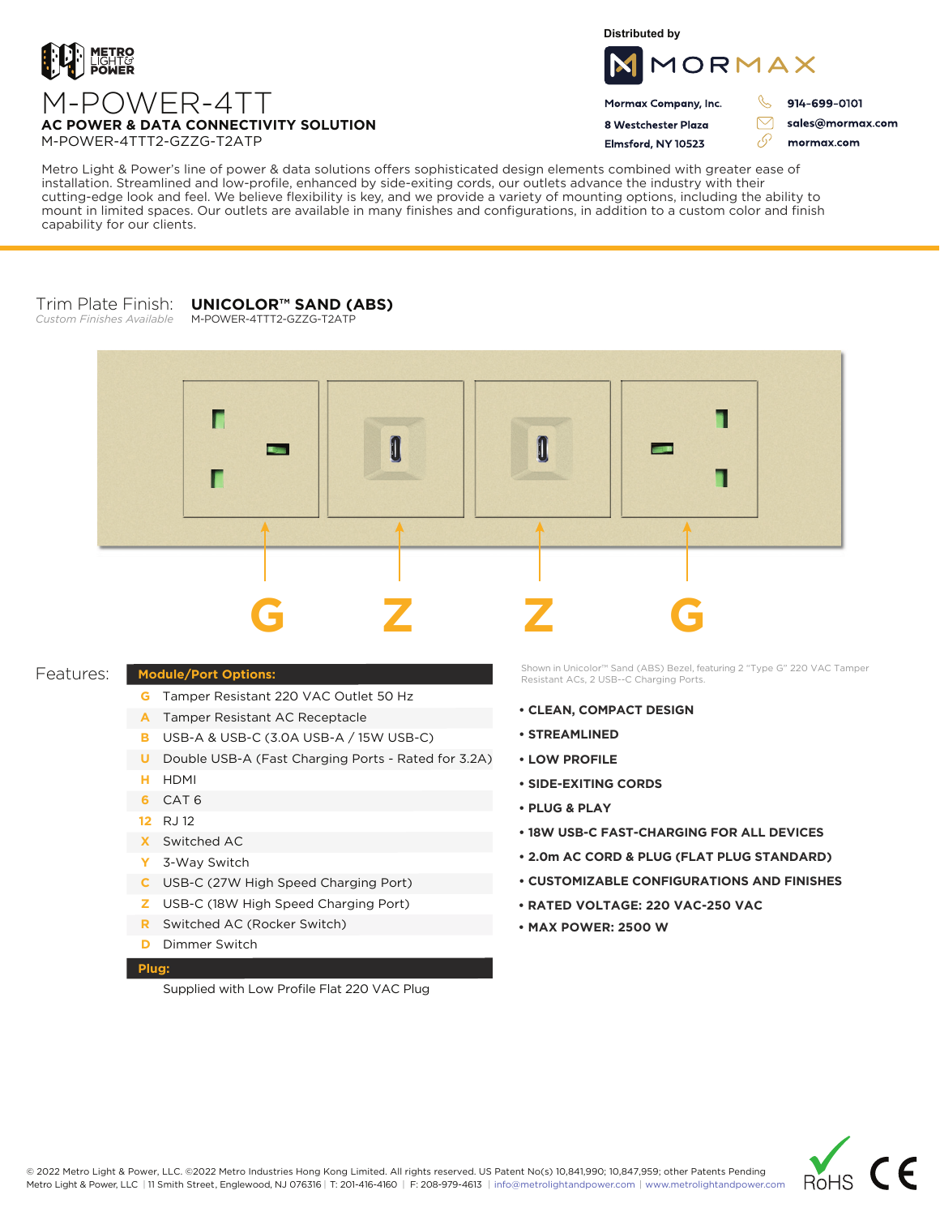

**Distributed by**



Mormax Company, Inc. 8 Westchester Plaza

Flmsford, NY 10523

914-699-0101

sales@mormax.com mormax.com

 $\triangledown$ 

76

M-POWER-4TT **AC POWER & DATA CONNECTIVITY SOLUTION** M-POWER-4TTT2-GZZG-T2ATP

Metro Light & Power's line of power & data solutions offers sophisticated design elements combined with greater ease of installation. Streamlined and low-profile, enhanced by side-exiting cords, our outlets advance the industry with their cutting-edge look and feel. We believe flexibility is key, and we provide a variety of mounting options, including the ability to mount in limited spaces. Our outlets are available in many finishes and configurations, in addition to a custom color and finish capability for our clients.

## Trim Plate Finish: **UNICOLOR™ SAND (ABS)**

*Custom Finishes Available* M-POWER-4TTT2-GZZG-T2ATP



## Features:

- **G** Tamper Resistant 220 VAC Outlet 50 Hz
- A Tamper Resistant AC Receptacle
- USB-A & USB-C (3.0A USB-A / 15W USB-C) **B**
- U Double USB-A (Fast Charging Ports Rated for 3.2A)
- HDMI **H**
- CAT 6 **6**
- 12 RJ 12
- Switched AC **X**

**Module/Port Options:**

- 3-Way Switch **Y**
- USB-C (27W High Speed Charging Port) **C**
- USB-C (18W High Speed Charging Port) **Z**
- Switched AC (Rocker Switch) **R**
- **D** Dimmer Switch

## **Plug:**

Supplied with Low Profile Flat 220 VAC Plug

Shown in Unicolor™ Sand (ABS) Bezel, featuring 2 "Type G" 220 VAC Tamper Resistant ACs, 2 USB--C Charging Ports.

- **CLEAN, COMPACT DESIGN**
- **STREAMLINED**
- **LOW PROFILE**
- **SIDE-EXITING CORDS**
- **PLUG & PLAY**
- **18W USB-C FAST-CHARGING FOR ALL DEVICES**
- **2.0m AC CORD & PLUG (FLAT PLUG STANDARD)**
- **CUSTOMIZABLE CONFIGURATIONS AND FINISHES**
- **• RATED VOLTAGE: 220 VAC-250 VAC**
- **MAX POWER: 2500 W**